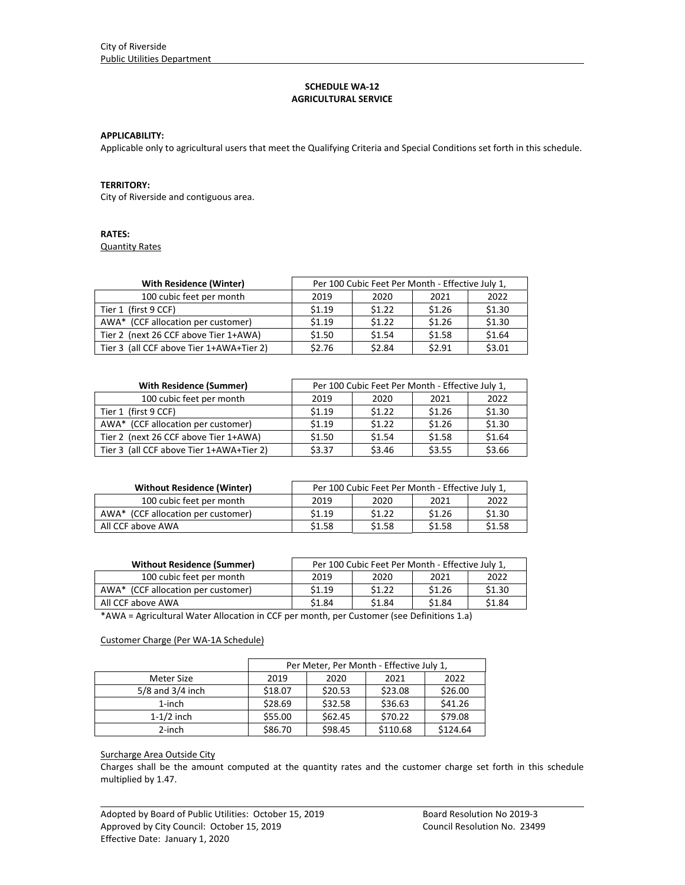# **SCHEDULE WA‐12 AGRICULTURAL SERVICE**

#### **APPLICABILITY:**

Applicable only to agricultural users that meet the Qualifying Criteria and Special Conditions set forth in this schedule.

#### **TERRITORY:**

City of Riverside and contiguous area.

# **RATES:**

Quantity Rates

| <b>With Residence (Winter)</b>           | Per 100 Cubic Feet Per Month - Effective July 1, |        |        |        |
|------------------------------------------|--------------------------------------------------|--------|--------|--------|
| 100 cubic feet per month                 | 2019                                             | 2020   | 2021   | 2022   |
| Tier 1 (first 9 CCF)                     | \$1.19                                           | \$1.22 | \$1.26 | \$1.30 |
| AWA* (CCF allocation per customer)       | \$1.19                                           | \$1.22 | \$1.26 | \$1.30 |
| Tier 2 (next 26 CCF above Tier 1+AWA)    | \$1.50                                           | \$1.54 | \$1.58 | \$1.64 |
| Tier 3 (all CCF above Tier 1+AWA+Tier 2) | \$2.76                                           | \$2.84 | \$2.91 | \$3.01 |

| <b>With Residence (Summer)</b>           | Per 100 Cubic Feet Per Month - Effective July 1, |        |        |        |
|------------------------------------------|--------------------------------------------------|--------|--------|--------|
| 100 cubic feet per month                 | 2019                                             | 2020   | 2021   | 2022   |
| Tier 1 (first 9 CCF)                     | \$1.19                                           | \$1.22 | \$1.26 | \$1.30 |
| AWA* (CCF allocation per customer)       | \$1.19                                           | \$1.22 | \$1.26 | \$1.30 |
| Tier 2 (next 26 CCF above Tier 1+AWA)    | \$1.50                                           | \$1.54 | \$1.58 | \$1.64 |
| Tier 3 (all CCF above Tier 1+AWA+Tier 2) | \$3.37                                           | \$3.46 | \$3.55 | \$3.66 |

| <b>Without Residence (Winter)</b>  | Per 100 Cubic Feet Per Month - Effective July 1, |        |        |        |
|------------------------------------|--------------------------------------------------|--------|--------|--------|
| 100 cubic feet per month           | 2019                                             | 2020   | 2021   | 2022   |
| AWA* (CCF allocation per customer) | \$1.19                                           | \$1.22 | \$1.26 | \$1.30 |
| All CCF above AWA                  | \$1.58                                           | \$1.58 | \$1.58 | \$1.58 |

| <b>Without Residence (Summer)</b>  | Per 100 Cubic Feet Per Month - Effective July 1, |        |        |                   |
|------------------------------------|--------------------------------------------------|--------|--------|-------------------|
| 100 cubic feet per month           | 2019                                             | 2020   | 2021   | 2022              |
| AWA* (CCF allocation per customer) | \$1.19                                           | \$1.22 | \$1.26 | \$1.30            |
| All CCF above AWA                  | \$1.84                                           | \$1.84 | \$1.84 | S <sub>1.84</sub> |

\*AWA = Agricultural Water Allocation in CCF per month, per Customer (see Definitions 1.a)

#### Customer Charge (Per WA‐1A Schedule)

|                      | Per Meter, Per Month - Effective July 1, |         |          |          |
|----------------------|------------------------------------------|---------|----------|----------|
| Meter Size           | 2019                                     | 2020    | 2021     | 2022     |
| $5/8$ and $3/4$ inch | \$18.07                                  | \$20.53 | \$23.08  | \$26.00  |
| $1$ -inch            | \$28.69                                  | \$32.58 | \$36.63  | \$41.26  |
| $1-1/2$ inch         | \$55.00                                  | \$62.45 | \$70.22  | \$79.08  |
| 2-inch               | \$86.70                                  | \$98.45 | \$110.68 | \$124.64 |

# Surcharge Area Outside City

Charges shall be the amount computed at the quantity rates and the customer charge set forth in this schedule multiplied by 1.47.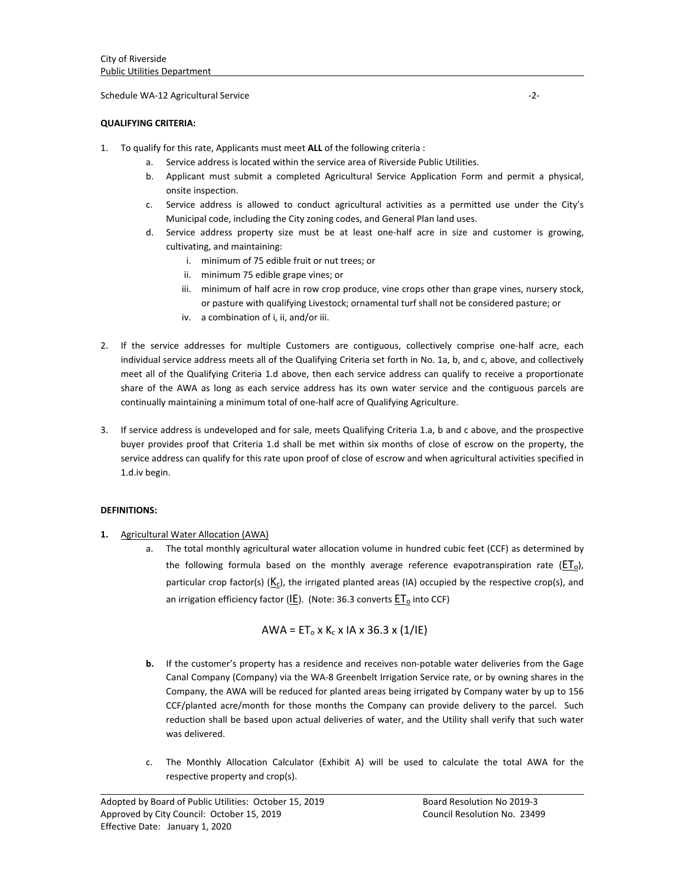#### Schedule WA‐12 Agricultural Service ‐2‐

### **QUALIFYING CRITERIA:**

- 1. To qualify for this rate, Applicants must meet **ALL** of the following criteria :
	- Service address is located within the service area of Riverside Public Utilities.
	- b. Applicant must submit a completed Agricultural Service Application Form and permit a physical, onsite inspection.
	- c. Service address is allowed to conduct agricultural activities as a permitted use under the City's Municipal code, including the City zoning codes, and General Plan land uses.
	- d. Service address property size must be at least one‐half acre in size and customer is growing, cultivating, and maintaining:
		- i. minimum of 75 edible fruit or nut trees; or
		- ii. minimum 75 edible grape vines; or
		- iii. minimum of half acre in row crop produce, vine crops other than grape vines, nursery stock, or pasture with qualifying Livestock; ornamental turf shall not be considered pasture; or
		- iv. a combination of i, ii, and/or iii.
- 2. If the service addresses for multiple Customers are contiguous, collectively comprise one-half acre, each individual service address meets all of the Qualifying Criteria set forth in No. 1a, b, and c, above, and collectively meet all of the Qualifying Criteria 1.d above, then each service address can qualify to receive a proportionate share of the AWA as long as each service address has its own water service and the contiguous parcels are continually maintaining a minimum total of one‐half acre of Qualifying Agriculture.
- 3. If service address is undeveloped and for sale, meets Qualifying Criteria 1.a, b and c above, and the prospective buyer provides proof that Criteria 1.d shall be met within six months of close of escrow on the property, the service address can qualify for this rate upon proof of close of escrow and when agricultural activities specified in 1.d.iv begin.

### **DEFINITIONS:**

- **1.** Agricultural Water Allocation (AWA)
	- a. The total monthly agricultural water allocation volume in hundred cubic feet (CCF) as determined by the following formula based on the monthly average reference evapotranspiration rate  $(ET<sub>o</sub>)$ , particular crop factor(s)  $(K_c)$ , the irrigated planted areas (IA) occupied by the respective crop(s), and an irrigation efficiency factor (IE). (Note: 36.3 converts  $ET<sub>o</sub>$  into CCF)

$$
AWA = ET_0 \times K_c \times IA \times 36.3 \times (1/IE)
$$

- **b.** If the customer's property has a residence and receives non-potable water deliveries from the Gage Canal Company (Company) via the WA‐8 Greenbelt Irrigation Service rate, or by owning shares in the Company, the AWA will be reduced for planted areas being irrigated by Company water by up to 156 CCF/planted acre/month for those months the Company can provide delivery to the parcel. Such reduction shall be based upon actual deliveries of water, and the Utility shall verify that such water was delivered.
- c. The Monthly Allocation Calculator (Exhibit A) will be used to calculate the total AWA for the respective property and crop(s).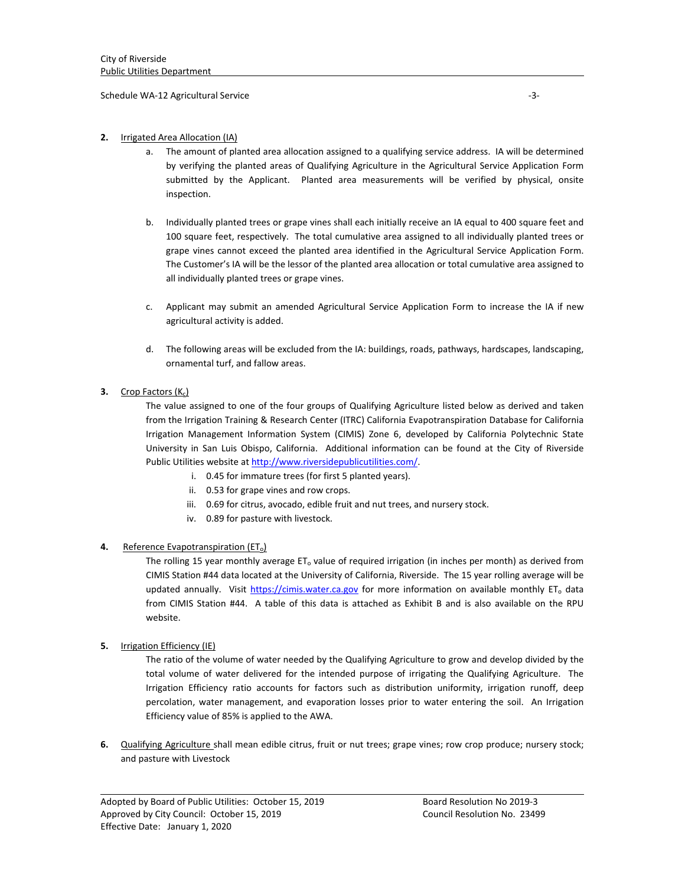Schedule WA‐12 Agricultural Service ‐3‐

### **2.** Irrigated Area Allocation (IA)

- The amount of planted area allocation assigned to a qualifying service address. IA will be determined by verifying the planted areas of Qualifying Agriculture in the Agricultural Service Application Form submitted by the Applicant. Planted area measurements will be verified by physical, onsite inspection.
- b. Individually planted trees or grape vines shall each initially receive an IA equal to 400 square feet and 100 square feet, respectively. The total cumulative area assigned to all individually planted trees or grape vines cannot exceed the planted area identified in the Agricultural Service Application Form. The Customer's IA will be the lessor of the planted area allocation or total cumulative area assigned to all individually planted trees or grape vines.
- c. Applicant may submit an amended Agricultural Service Application Form to increase the IA if new agricultural activity is added.
- d. The following areas will be excluded from the IA: buildings, roads, pathways, hardscapes, landscaping, ornamental turf, and fallow areas.

#### **3.** Crop Factors  $(K_c)$

The value assigned to one of the four groups of Qualifying Agriculture listed below as derived and taken from the Irrigation Training & Research Center (ITRC) California Evapotranspiration Database for California Irrigation Management Information System (CIMIS) Zone 6, developed by California Polytechnic State University in San Luis Obispo, California. Additional information can be found at the City of Riverside Public Utilities website at http://www.riversidepublicutilities.com/.

- i. 0.45 for immature trees (for first 5 planted years).
- ii. 0.53 for grape vines and row crops.
- iii. 0.69 for citrus, avocado, edible fruit and nut trees, and nursery stock.
- iv. 0.89 for pasture with livestock.

#### **4.** Reference Evapotranspiration (ET<sub>o</sub>)

The rolling 15 year monthly average  $ET_0$  value of required irrigation (in inches per month) as derived from CIMIS Station #44 data located at the University of California, Riverside. The 15 year rolling average will be updated annually. Visit https://cimis.water.ca.gov for more information on available monthly ET<sub>o</sub> data from CIMIS Station #44. A table of this data is attached as Exhibit B and is also available on the RPU website.

#### **5.** Irrigation Efficiency (IE)

The ratio of the volume of water needed by the Qualifying Agriculture to grow and develop divided by the total volume of water delivered for the intended purpose of irrigating the Qualifying Agriculture. The Irrigation Efficiency ratio accounts for factors such as distribution uniformity, irrigation runoff, deep percolation, water management, and evaporation losses prior to water entering the soil. An Irrigation Efficiency value of 85% is applied to the AWA.

**6.** Qualifying Agriculture shall mean edible citrus, fruit or nut trees; grape vines; row crop produce; nursery stock; and pasture with Livestock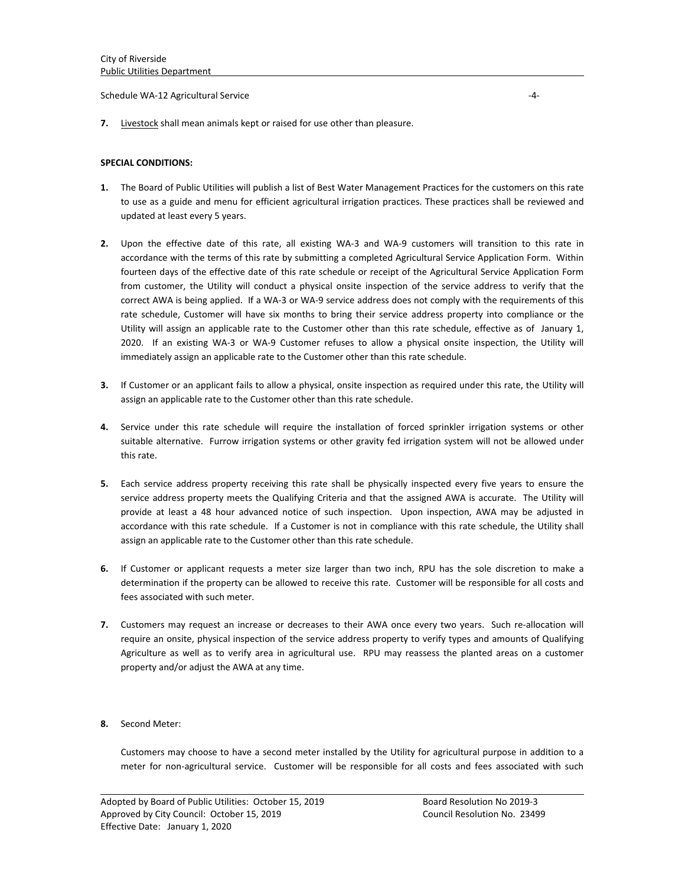Schedule WA‐12 Agricultural Service ‐4‐

**7.** Livestock shall mean animals kept or raised for use other than pleasure.

#### **SPECIAL CONDITIONS:**

- **1.** The Board of Public Utilities will publish a list of Best Water Management Practices for the customers on this rate to use as a guide and menu for efficient agricultural irrigation practices. These practices shall be reviewed and updated at least every 5 years.
- **2.** Upon the effective date of this rate, all existing WA‐3 and WA‐9 customers will transition to this rate in accordance with the terms of this rate by submitting a completed Agricultural Service Application Form. Within fourteen days of the effective date of this rate schedule or receipt of the Agricultural Service Application Form from customer, the Utility will conduct a physical onsite inspection of the service address to verify that the correct AWA is being applied. If a WA‐3 or WA‐9 service address does not comply with the requirements of this rate schedule, Customer will have six months to bring their service address property into compliance or the Utility will assign an applicable rate to the Customer other than this rate schedule, effective as of January 1, 2020. If an existing WA‐3 or WA‐9 Customer refuses to allow a physical onsite inspection, the Utility will immediately assign an applicable rate to the Customer other than this rate schedule.
- **3.** If Customer or an applicant fails to allow a physical, onsite inspection as required under this rate, the Utility will assign an applicable rate to the Customer other than this rate schedule.
- **4.** Service under this rate schedule will require the installation of forced sprinkler irrigation systems or other suitable alternative. Furrow irrigation systems or other gravity fed irrigation system will not be allowed under this rate.
- **5.** Each service address property receiving this rate shall be physically inspected every five years to ensure the service address property meets the Qualifying Criteria and that the assigned AWA is accurate. The Utility will provide at least a 48 hour advanced notice of such inspection. Upon inspection, AWA may be adjusted in accordance with this rate schedule. If a Customer is not in compliance with this rate schedule, the Utility shall assign an applicable rate to the Customer other than this rate schedule.
- **6.** If Customer or applicant requests a meter size larger than two inch, RPU has the sole discretion to make a determination if the property can be allowed to receive this rate. Customer will be responsible for all costs and fees associated with such meter.
- **7.** Customers may request an increase or decreases to their AWA once every two years. Such re‐allocation will require an onsite, physical inspection of the service address property to verify types and amounts of Qualifying Agriculture as well as to verify area in agricultural use. RPU may reassess the planted areas on a customer property and/or adjust the AWA at any time.
- **8.** Second Meter:

Customers may choose to have a second meter installed by the Utility for agricultural purpose in addition to a meter for non-agricultural service. Customer will be responsible for all costs and fees associated with such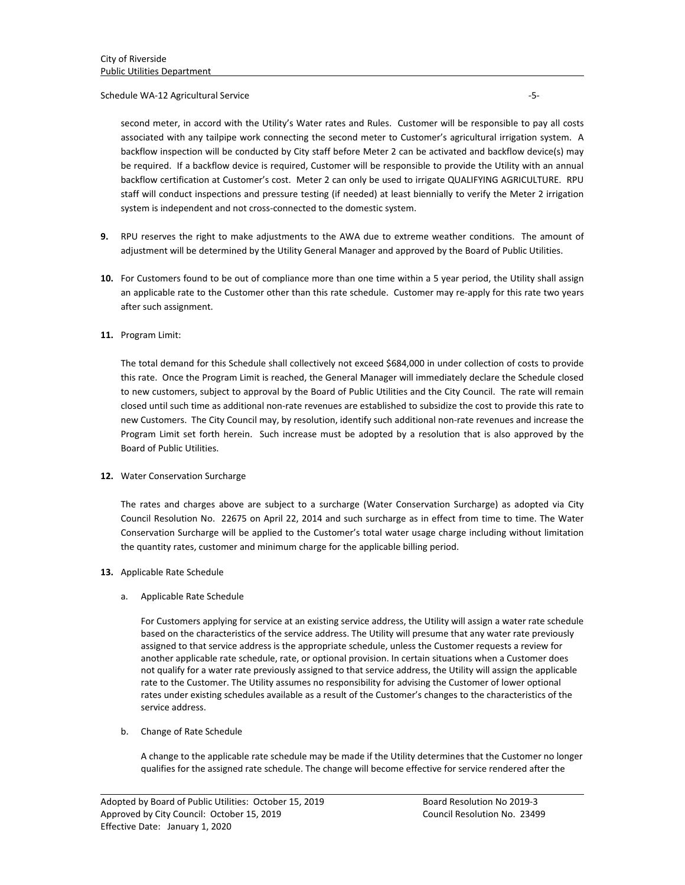### Schedule WA‐12 Agricultural Service ‐5‐

second meter, in accord with the Utility's Water rates and Rules. Customer will be responsible to pay all costs associated with any tailpipe work connecting the second meter to Customer's agricultural irrigation system. A backflow inspection will be conducted by City staff before Meter 2 can be activated and backflow device(s) may be required. If a backflow device is required, Customer will be responsible to provide the Utility with an annual backflow certification at Customer's cost. Meter 2 can only be used to irrigate QUALIFYING AGRICULTURE. RPU staff will conduct inspections and pressure testing (if needed) at least biennially to verify the Meter 2 irrigation system is independent and not cross‐connected to the domestic system.

- **9.** RPU reserves the right to make adjustments to the AWA due to extreme weather conditions. The amount of adjustment will be determined by the Utility General Manager and approved by the Board of Public Utilities.
- **10.** For Customers found to be out of compliance more than one time within a 5 year period, the Utility shall assign an applicable rate to the Customer other than this rate schedule. Customer may re-apply for this rate two years after such assignment.

# **11.** Program Limit:

The total demand for this Schedule shall collectively not exceed \$684,000 in under collection of costs to provide this rate. Once the Program Limit is reached, the General Manager will immediately declare the Schedule closed to new customers, subject to approval by the Board of Public Utilities and the City Council. The rate will remain closed until such time as additional non‐rate revenues are established to subsidize the cost to provide this rate to new Customers. The City Council may, by resolution, identify such additional non-rate revenues and increase the Program Limit set forth herein. Such increase must be adopted by a resolution that is also approved by the Board of Public Utilities.

### **12.** Water Conservation Surcharge

The rates and charges above are subject to a surcharge (Water Conservation Surcharge) as adopted via City Council Resolution No. 22675 on April 22, 2014 and such surcharge as in effect from time to time. The Water Conservation Surcharge will be applied to the Customer's total water usage charge including without limitation the quantity rates, customer and minimum charge for the applicable billing period.

### **13.** Applicable Rate Schedule

# a. Applicable Rate Schedule

For Customers applying for service at an existing service address, the Utility will assign a water rate schedule based on the characteristics of the service address. The Utility will presume that any water rate previously assigned to that service address is the appropriate schedule, unless the Customer requests a review for another applicable rate schedule, rate, or optional provision. In certain situations when a Customer does not qualify for a water rate previously assigned to that service address, the Utility will assign the applicable rate to the Customer. The Utility assumes no responsibility for advising the Customer of lower optional rates under existing schedules available as a result of the Customer's changes to the characteristics of the service address.

### b. Change of Rate Schedule

A change to the applicable rate schedule may be made if the Utility determines that the Customer no longer qualifies for the assigned rate schedule. The change will become effective for service rendered after the